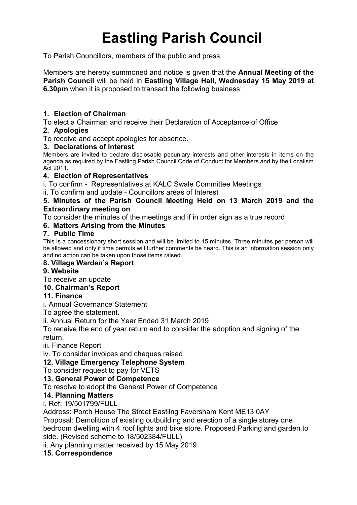# **Eastling Parish Council**

To Parish Councillors, members of the public and press.

Members are hereby summoned and notice is given that the **Annual Meeting of the Parish Council** will be held in **Eastling Village Hall, Wednesday 15 May 2019 at 6.30pm** when it is proposed to transact the following business:

## **1. Election of Chairman**

To elect a Chairman and receive their Declaration of Acceptance of Office

## **2. Apologies**

To receive and accept apologies for absence.

#### **3. Declarations of interest**

Members are invited to declare disclosable pecuniary interests and other interests in items on the agenda as required by the Eastling Parish Council Code of Conduct for Members and by the Localism Act 2011.

## **4. Election of Representatives**

i. To confirm - Representatives at KALC Swale Committee Meetings

ii. To confirm and update - Councillors areas of Interest

#### **5. Minutes of the Parish Council Meeting Held on 13 March 2019 and the Extraordinary meeting on**

To consider the minutes of the meetings and if in order sign as a true record

# **6. Matters Arising from the Minutes**

## **7. Public Time**

This is a concessionary short session and will be limited to 15 minutes. Three minutes per person will be allowed and only if time permits will further comments be heard. This is an information session only and no action can be taken upon those items raised.

#### **8. Village Warden's Report**

# **9. Website**

To receive an update

# **10. Chairman's Report**

# **11. Finance**

i. Annual Governance Statement

To agree the statement.

ii. Annual Return for the Year Ended 31 March 2019

To receive the end of year return and to consider the adoption and signing of the return.

iii. Finance Report

iv. To consider invoices and cheques raised

# **12. Village Emergency Telephone System**

To consider request to pay for VETS

#### **13. General Power of Competence**

To resolve to adopt the General Power of Competence

#### **14. Planning Matters**

i. Ref: 19/501799/FULL

Address: Porch House The Street Eastling Faversham Kent ME13 0AY

Proposal: Demolition of existing outbuilding and erection of a single storey one bedroom dwelling with 4 roof lights and bike store. Proposed Parking and garden to side. (Revised scheme to 18/502384/FULL)

ii. Any planning matter received by 15 May 2019

# **15. Correspondence**